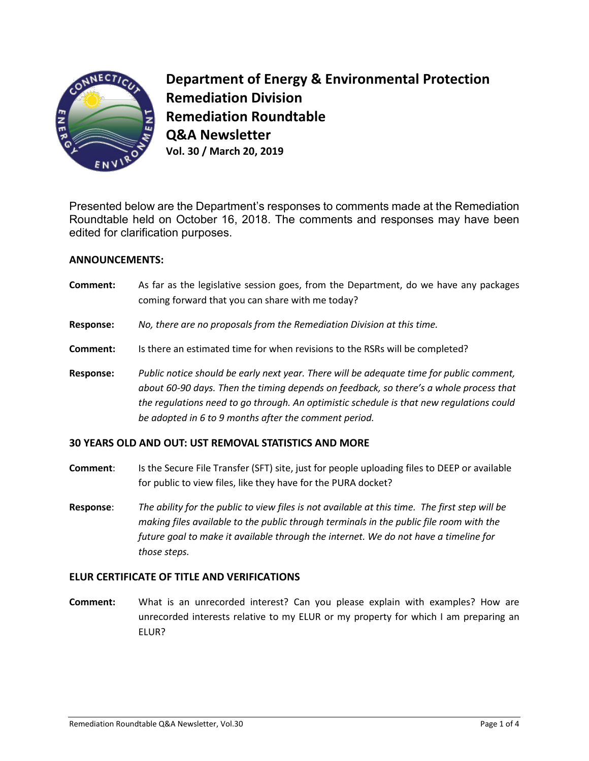

**Department of Energy & Environmental Protection Remediation Division Remediation Roundtable Q&A Newsletter Vol. 30 / March 20, 2019**

Presented below are the Department's responses to comments made at the Remediation Roundtable held on October 16, 2018. The comments and responses may have been edited for clarification purposes.

# **ANNOUNCEMENTS:**

- **Comment:** As far as the legislative session goes, from the Department, do we have any packages coming forward that you can share with me today?
- **Response:** *No, there are no proposals from the Remediation Division at this time.*
- **Comment:** Is there an estimated time for when revisions to the RSRs will be completed?
- **Response:** *Public notice should be early next year. There will be adequate time for public comment, about 60-90 days. Then the timing depends on feedback, so there's a whole process that the regulations need to go through. An optimistic schedule is that new regulations could be adopted in 6 to 9 months after the comment period.*

# **30 YEARS OLD AND OUT: UST REMOVAL STATISTICS AND MORE**

- **Comment**: Is the Secure File Transfer (SFT) site, just for people uploading files to DEEP or available for public to view files, like they have for the PURA docket?
- **Response**: *The ability for the public to view files is not available at this time. The first step will be making files available to the public through terminals in the public file room with the future goal to make it available through the internet. We do not have a timeline for those steps.*

# **ELUR CERTIFICATE OF TITLE AND VERIFICATIONS**

**Comment:** What is an unrecorded interest? Can you please explain with examples? How are unrecorded interests relative to my ELUR or my property for which I am preparing an ELUR?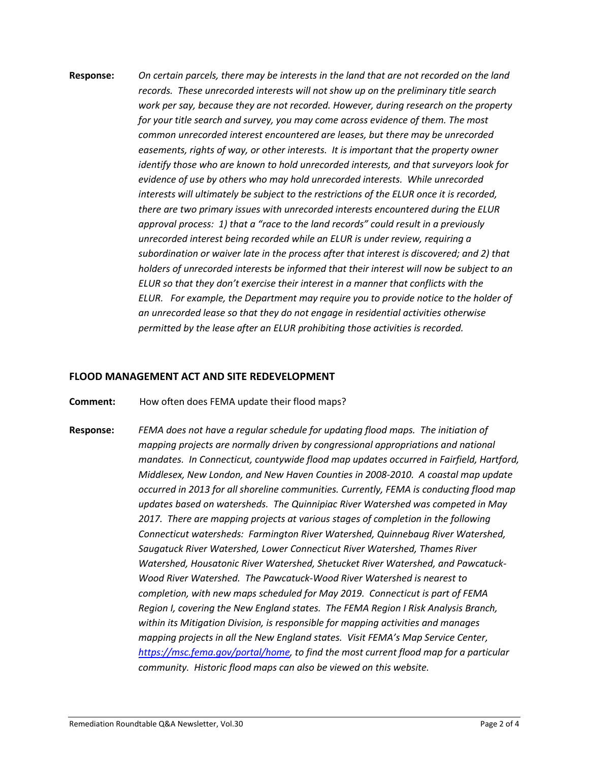**Response:** *On certain parcels, there may be interests in the land that are not recorded on the land records. These unrecorded interests will not show up on the preliminary title search work per say, because they are not recorded. However, during research on the property for your title search and survey, you may come across evidence of them. The most common unrecorded interest encountered are leases, but there may be unrecorded easements, rights of way, or other interests. It is important that the property owner identify those who are known to hold unrecorded interests, and that surveyors look for evidence of use by others who may hold unrecorded interests. While unrecorded interests will ultimately be subject to the restrictions of the ELUR once it is recorded, there are two primary issues with unrecorded interests encountered during the ELUR approval process: 1) that a "race to the land records" could result in a previously unrecorded interest being recorded while an ELUR is under review, requiring a subordination or waiver late in the process after that interest is discovered; and 2) that holders of unrecorded interests be informed that their interest will now be subject to an ELUR so that they don't exercise their interest in a manner that conflicts with the ELUR. For example, the Department may require you to provide notice to the holder of an unrecorded lease so that they do not engage in residential activities otherwise permitted by the lease after an ELUR prohibiting those activities is recorded.*

# **FLOOD MANAGEMENT ACT AND SITE REDEVELOPMENT**

**Comment:** How often does FEMA update their flood maps?

**Response:** *FEMA does not have a regular schedule for updating flood maps. The initiation of mapping projects are normally driven by congressional appropriations and national mandates. In Connecticut, countywide flood map updates occurred in Fairfield, Hartford, Middlesex, New London, and New Haven Counties in 2008-2010. A coastal map update occurred in 2013 for all shoreline communities. Currently, FEMA is conducting flood map updates based on watersheds. The Quinnipiac River Watershed was competed in May 2017. There are mapping projects at various stages of completion in the following Connecticut watersheds: Farmington River Watershed, Quinnebaug River Watershed, Saugatuck River Watershed, Lower Connecticut River Watershed, Thames River Watershed, Housatonic River Watershed, Shetucket River Watershed, and Pawcatuck-Wood River Watershed. The Pawcatuck-Wood River Watershed is nearest to completion, with new maps scheduled for May 2019. Connecticut is part of FEMA Region I, covering the New England states. The FEMA Region I Risk Analysis Branch, within its Mitigation Division, is responsible for mapping activities and manages mapping projects in all the New England states. Visit FEMA's Map Service Center, [https://msc.fema.gov/portal/home,](https://msc.fema.gov/portal/home) to find the most current flood map for a particular community. Historic flood maps can also be viewed on this website.*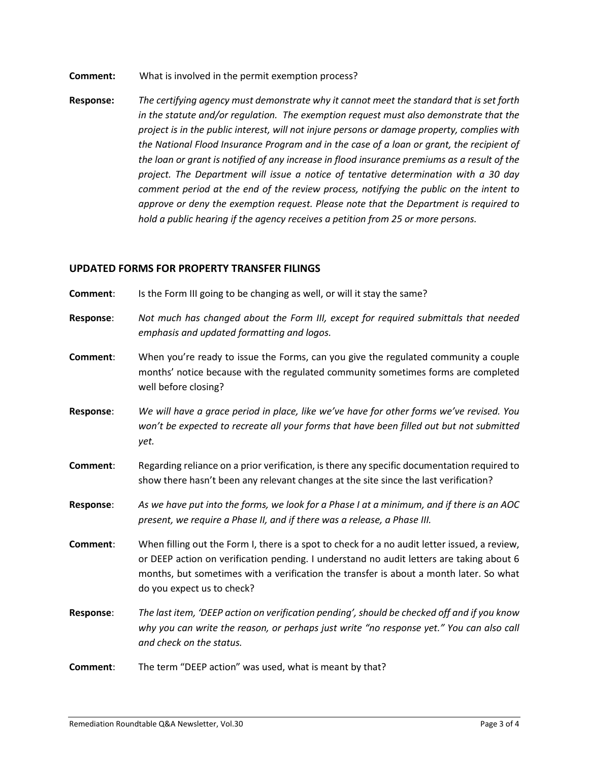**Comment:** What is involved in the permit exemption process?

**Response:** *The certifying agency must demonstrate why it cannot meet the standard that is set forth in the statute and/or regulation. The exemption request must also demonstrate that the project is in the public interest, will not injure persons or damage property, complies with the National Flood Insurance Program and in the case of a loan or grant, the recipient of the loan or grant is notified of any increase in flood insurance premiums as a result of the project. The Department will issue a notice of tentative determination with a 30 day comment period at the end of the review process, notifying the public on the intent to approve or deny the exemption request. Please note that the Department is required to hold a public hearing if the agency receives a petition from 25 or more persons.*

# **UPDATED FORMS FOR PROPERTY TRANSFER FILINGS**

- **Comment:** Is the Form III going to be changing as well, or will it stay the same?
- **Response**: *Not much has changed about the Form III, except for required submittals that needed emphasis and updated formatting and logos.*
- **Comment**: When you're ready to issue the Forms, can you give the regulated community a couple months' notice because with the regulated community sometimes forms are completed well before closing?
- **Response**: *We will have a grace period in place, like we've have for other forms we've revised. You won't be expected to recreate all your forms that have been filled out but not submitted yet.*
- **Comment**: Regarding reliance on a prior verification, is there any specific documentation required to show there hasn't been any relevant changes at the site since the last verification?
- **Response**: *As we have put into the forms, we look for a Phase I at a minimum, and if there is an AOC present, we require a Phase II, and if there was a release, a Phase III.*

**Comment**: When filling out the Form I, there is a spot to check for a no audit letter issued, a review, or DEEP action on verification pending. I understand no audit letters are taking about 6 months, but sometimes with a verification the transfer is about a month later. So what do you expect us to check?

- **Response**: *The last item, 'DEEP action on verification pending', should be checked off and if you know why you can write the reason, or perhaps just write "no response yet." You can also call and check on the status.*
- **Comment**: The term "DEEP action" was used, what is meant by that?